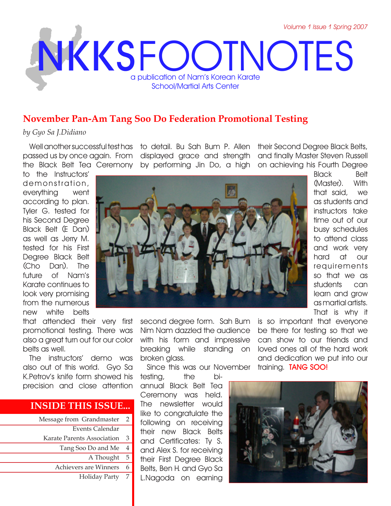# **NKKS** FOOTNOTES a publication of Nam's Korean Karate School/Martial Arts Center

# **November Pan-Am Tang Soo Do Federation Promotional Testing**

### *by Gyo Sa J.Didiano*

Well another successful test has passed us by once again. From

to the Instructors' demonstration, everything went according to plan. Tyler G. tested for

his Second Degree Black Belt (E Dan) as well as Jerry M. tested for his First Degree Black Belt (Cho Dan). The future of Nam's Karate continues to look very promising from the numerous new white belts

that attended their very first promotional testing. There was also a great turn out for our color belts as well.

The instructors' demo was also out of this world. Gyo Sa K.Petrov's knife form showed his precision and close attention

## **INSIDE THIS ISSUE...**

| Message from Grandmaster   | $\overline{2}$ |
|----------------------------|----------------|
| Events Calendar            |                |
| Karate Parents Association | 3              |
| Tang Soo Do and Me         | $\overline{4}$ |
| A Thought                  | 5              |
| Achievers are Winners      | 6              |
| <b>Holiday Party</b>       | 7              |
|                            |                |

the Black Belt Tea Ceremony by performing Jin Do, a high on achieving his Fourth Degree to detail. Bu Sah Bum P. Allen their Second Degree Black Belts, displayed grace and strength

and finally Master Steven Russell



Black Belt (Master). With that said, we as students and instructors take time out of our busy schedules to attend class and work very hard at our requirements so that we as students can learn and grow as martial artists. That is why it

Nim Nam dazzled the audience with his form and impressive breaking while standing on broken glass.

Since this was our November

testing, the biannual Black Belt Tea Ceremony was held. The newsletter would like to congratulate the following on receiving their new Black Belts and Certificates: Ty S. and Alex S. for receiving their First Degree Black Belts, Ben H. and Gyo Sa L.Nagoda on earning

second degree form. Sah Bum is so important that everyone be there for testing so that we can show to our friends and loved ones all of the hard work and dedication we put into our training. **TANG SOO!**

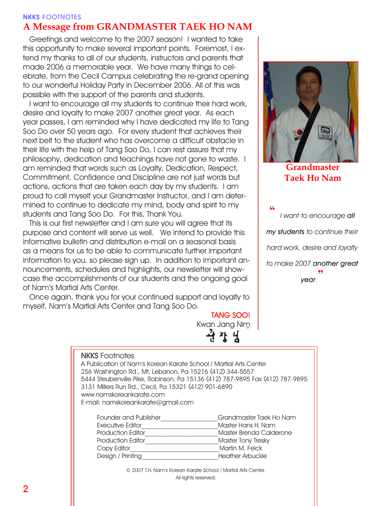## **NKKS** FOOTNOTES **A Message from GRANDMASTER TAEK HO NAM**

Greetings and welcome to the 2007 season! I wanted to take this opportunity to make several important points. Foremost, I extend my thanks to all of our students, instructors and parents that made 2006 a memorable year. We have many things to celebrate, from the Cecil Campus celebrating the re-grand opening to our wonderful Holiday Party in December 2006. All of this was possible with the support of the parents and students.

I want to encourage all my students to continue their hard work, desire and loyalty to make 2007 another great year. As each year passes, I am reminded why I have dedicated my life to Tang Soo Do over 50 years ago. For every student that achieves their next belt to the student who has overcome a difficult obstacle in their life with the help of Tang Soo Do, I can rest assure that my philosophy, dedication and teachings have not gone to waste. I am reminded that words such as Loyalty, Dedication, Respect, Commitment, Confidence and Discipline are not just words but actions, actions that are taken each day by my students. I am proud to call myself your Grandmaster Instructor, and I am determined to continue to dedicate my mind, body and spirit to my students and Tang Soo Do. For this, Thank You.

This is our first newsletter and I am sure you will agree that its purpose and content will serve us well. We intend to provide this informative bulletin and distribution e-mail on a seasonal basis as a means for us to be able to communicate further important information to you, so please sign up. In addition to important announcements, schedules and highlights, our newsletter will showcase the accomplishments of our students and the ongoing goal of Nam's Martial Arts Center.

Once again, thank you for your continued support and loyalty to myself, Nam's Martial Arts Center and Tang Soo Do.

**TANG SOO!** Kwan Jang Nim



**Grandmaster Taek Ho Nam**

**"** *I want to encourage all my students to continue their hard work, desire and loyalty to make 2007 another great year.***"**

#### **NKKS** Footnotes

A Publication of Nam's Korean Karate School / Martial Arts Center 256 Washington Rd., Mt. Lebanon, Pa 15216 (412) 344-5557 5444 Steubenville Pike, Robinson, Pa 15136 (412) 787-9895 Fax (412) 787-9895 3131 Millers Run Rd., Cecil, Pa 15321 (412) 901-6890 www.namskoreankarate.com E-mail: namskoreankarate@gmail.com

| Founder and Publisher    | Grandmaster Taek Ho Nam |
|--------------------------|-------------------------|
| <b>Executive Editor</b>  | Master Hans H. Nam      |
| <b>Production Editor</b> | Master Brenda Calderone |
| <b>Production Editor</b> | Master Tony Tresky      |
| Copy Editor              | Martin M. Feick         |
| Design / Printing        | Heather Arbuckle        |

© 2007 T.H. Nam's Korean Karate School / Martial Arts Center. All rights reserved.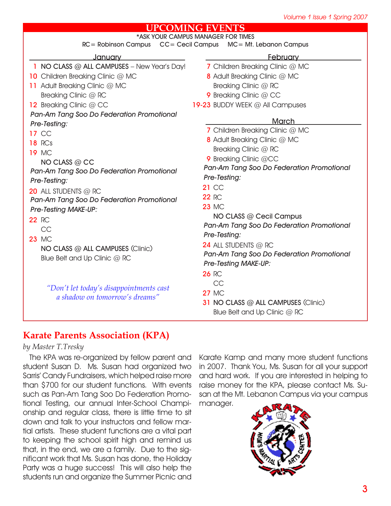## **UPCOMING EVENTS**

| RC= Robinson Campus  CC= Cecil Campus  MC= Mt. Lebanon Campus<br><b>February</b><br><u>Januarv</u><br>1 NO CLASS @ ALL CAMPUSES - New Year's Day!<br>7 Children Breaking Clinic @ MC<br>10 Children Breaking Clinic @ MC<br><b>8</b> Adult Breaking Clinic @ MC<br>Breaking Clinic @ RC<br>11 Adult Breaking Clinic @ MC |
|--------------------------------------------------------------------------------------------------------------------------------------------------------------------------------------------------------------------------------------------------------------------------------------------------------------------------|
|                                                                                                                                                                                                                                                                                                                          |
|                                                                                                                                                                                                                                                                                                                          |
|                                                                                                                                                                                                                                                                                                                          |
|                                                                                                                                                                                                                                                                                                                          |
| Breaking Clinic @ RC<br>9 Breaking Clinic @ CC                                                                                                                                                                                                                                                                           |
| 12 Breaking Clinic @ CC<br>19-23 BUDDY WEEK @ All Campuses                                                                                                                                                                                                                                                               |
| Pan-Am Tang Soo Do Federation Promotional                                                                                                                                                                                                                                                                                |
| <b>March</b><br>Pre-Testing:                                                                                                                                                                                                                                                                                             |
| 7 Children Breaking Clinic @ MC<br>17 CC                                                                                                                                                                                                                                                                                 |
| <b>8</b> Adult Breaking Clinic @ MC<br><b>18 RCs</b>                                                                                                                                                                                                                                                                     |
| Breaking Clinic @ RC<br><b>19 MC</b>                                                                                                                                                                                                                                                                                     |
| 9 Breaking Clinic @CC<br>NO CLASS @ CC                                                                                                                                                                                                                                                                                   |
| Pan-Am Tang Soo Do Federation Promotional<br>Pan-Am Tang Soo Do Federation Promotional                                                                                                                                                                                                                                   |
| Pre-Testing:<br>Pre-Testing:                                                                                                                                                                                                                                                                                             |
| <b>21 CC</b><br>20 ALL STUDENTS @ RC                                                                                                                                                                                                                                                                                     |
| <b>22 RC</b><br>Pan-Am Tang Soo Do Federation Promotional                                                                                                                                                                                                                                                                |
| <b>23 MC</b><br><b>Pre-Testing MAKE-UP:</b>                                                                                                                                                                                                                                                                              |
| NO CLASS @ Cecil Campus<br><b>22 RC</b>                                                                                                                                                                                                                                                                                  |
| Pan-Am Tang Soo Do Federation Promotional<br>CC                                                                                                                                                                                                                                                                          |
| Pre-Testing:<br><b>23 MC</b>                                                                                                                                                                                                                                                                                             |
| <b>24 ALL STUDENTS @ RC</b>                                                                                                                                                                                                                                                                                              |
| NO CLASS @ ALL CAMPUSES (Clinic)<br>Pan-Am Tang Soo Do Federation Promotional                                                                                                                                                                                                                                            |
| Blue Belt and Up Clinic @ RC<br><b>Pre-Testing MAKE-UP:</b>                                                                                                                                                                                                                                                              |
| <b>26 RC</b>                                                                                                                                                                                                                                                                                                             |
| CC                                                                                                                                                                                                                                                                                                                       |
| "Don't let today's disappointments cast<br><b>27 MC</b>                                                                                                                                                                                                                                                                  |
| a shadow on tomorrow's dreams"<br><b>31 NO CLASS @ ALL CAMPUSES (Clinic)</b>                                                                                                                                                                                                                                             |
| Blue Belt and Up Clinic @ RC                                                                                                                                                                                                                                                                                             |

# **Karate Parents Association (KPA)**

## *by Master T.Tresky*

The KPA was re-organized by fellow parent and student Susan D. Ms. Susan had organized two Sarris' Candy Fundraisers, which helped raise more than \$700 for our student functions. With events such as Pan-Am Tang Soo Do Federation Promotional Testing, our annual Inter-School Championship and regular class, there is little time to sit down and talk to your instructors and fellow martial artists. These student functions are a vital part to keeping the school spirit high and remind us that, in the end, we are a family. Due to the significant work that Ms. Susan has done, the Holiday Party was a huge success! This will also help the students run and organize the Summer Picnic and

Karate Kamp and many more student functions in 2007. Thank You, Ms. Susan for all your support and hard work. If you are interested in helping to raise money for the KPA, please contact Ms. Susan at the Mt. Lebanon Campus via your campus manager.

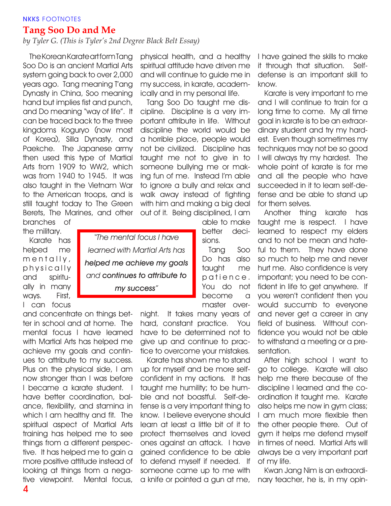## **NKKS** FOOTNOTES

## **Tang Soo Do and Me**

## *by Tyler G. (This is Tyler's 2nd Degree Black Belt Essay)*

*"The mental focus I have* 

*learned with Martial Arts has* 

*helped me achieve my goals and continues to attribute to my success"*

The Korean Karate art form Tang Soo Do is an ancient Martial Arts system going back to over 2,000 years ago. Tang meaning T'ang Dynasty in China, Soo meaning hand but implies fist and punch, and Do meaning "way of life". It can be traced back to the three kingdoms Koguryo (now most of Korea), Silla Dynasty, and Paekche. The Japanese army then used this type of Martial Arts from 1909 to WW2, which was from 1940 to 1945. It was also taught in the Vietnam War to the American troops, and is still taught today to The Green Berets, The Marines, and other

branches of the military.

Karate has helped me  $m$  e n  $t$  ally, physically and spiritually in many ways. First, I can focus

and concentrate on things better in school and at home. The mental focus I have learned with Martial Arts has helped me achieve my goals and continues to attribute to my success. Plus on the physical side, I am now stronger than I was before I became a karate student. I have better coordination, balance, flexibility, and stamina in which I am healthy and fit. The spiritual aspect of Martial Arts training has helped me to see things from a different perspective. It has helped me to gain a more positive attitude instead of looking at things from a negative viewpoint. Mental focus,

physical health, and a healthy spiritual attitude have driven me and will continue to guide me in my success, in karate, academically and in my personal life.

Tang Soo Do taught me discipline. Discipline is a very important attribute in life. Without discipline the world would be a horrible place, people would not be civilized. Discipline has taught me not to give in to someone bullying me or making fun of me. Instead I'm able to ignore a bully and relax and walk away instead of fighting with him and making a big deal out of it. Being disciplined, I am

able to make better decisions.

Tang Soo Do has also taught me patience. You do not become a master over-

night. It takes many years of hard, constant practice. You have to be determined not to give up and continue to practice to overcome your mistakes.

Karate has shown me to stand up for myself and be more selfconfident in my actions. It has taught me humility; to be humble and not boastful. Self-defense is a very important thing to know. I believe everyone should learn at least a little bit of it to protect themselves and loved ones against an attack. I have gained confidence to be able to defend myself if needed. If someone came up to me with a knife or pointed a gun at me, I have gained the skills to make it through that situation. Selfdefense is an important skill to know.

Karate is very important to me and I will continue to train for a long time to come. My all time goal in karate is to be an extraordinary student and try my hardest. Even though sometimes my techniques may not be so good I will always try my hardest. The whole point of karate is for me and all the people who have succeeded in it to learn self-defense and be able to stand up for them selves.

Another thing karate has taught me is respect. I have learned to respect my elders and to not be mean and hateful to them. They have done so much to help me and never hurt me. Also confidence is very important; you need to be confident in life to get anywhere. If you weren't confident then you would succumb to everyone and never get a career in any field of business. Without confidence you would not be able to withstand a meeting or a presentation.

After high school I want to go to college. Karate will also help me there because of the discipline I learned and the coordination it taught me. Karate also helps me now in gym class; I am much more flexible then the other people there. Out of gym it helps me defend myself in times of need. Martial Arts will always be a very important part of my life.

Kwan Jang Nim is an extraordinary teacher, he is, in my opin-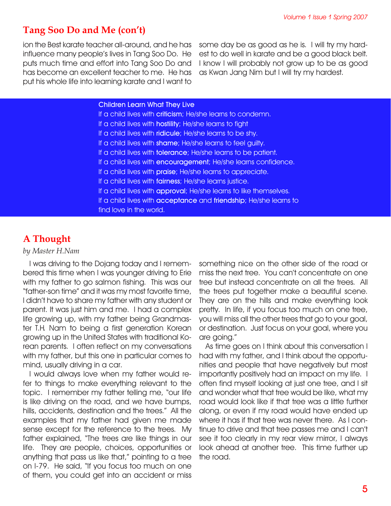## **Tang Soo Do and Me (con't)**

ion the Best karate teacher all-around, and he has influence many people's lives in Tang Soo Do. He puts much time and effort into Tang Soo Do and has become an excellent teacher to me. He has put his whole life into learning karate and I want to some day be as good as he is. I will try my hardest to do well in karate and be a good black belt. I know I will probably not grow up to be as good as Kwan Jang Nim but I will try my hardest.

#### **Children Learn What They Live**

If a child lives with **criticism**; He/she learns to condemn. If a child lives with **hostility**; He/she learns to fight If a child lives with **ridicule**; He/she learns to be shy. If a child lives with **shame**; He/she learns to feel guilty. If a child lives with **tolerance**; He/she learns to be patient. If a child lives with **encouragement**; He/she learns confidence. If a child lives with **praise**; He/she learns to appreciate. If a child lives with **fairness**; He/she learns justice. If a child lives with **approval**; He/she learns to like themselves. If a child lives with **acceptance** and **friendship**; He/she learns to find love in the world.

# **A Thought**

#### *by Master H.Nam*

I was driving to the Dojang today and I remembered this time when I was younger driving to Erie with my father to go salmon fishing. This was our "father-son time" and it was my most favorite time, I didn't have to share my father with any student or parent. It was just him and me. I had a complex life growing up, with my father being Grandmaster T.H. Nam to being a first generation Korean growing up in the United States with traditional Korean parents. I often reflect on my conversations with my father, but this one in particular comes to mind, usually driving in a car.

I would always love when my father would refer to things to make everything relevant to the topic. I remember my father telling me, "our life is like driving on the road, and we have bumps, hills, accidents, destination and the trees." All the examples that my father had given me made sense except for the reference to the trees. My father explained, "The trees are like things in our life. They are people, choices, opportunities or anything that pass us like that," pointing to a tree on I-79. He said, "If you focus too much on one of them, you could get into an accident or miss

something nice on the other side of the road or miss the next tree. You can't concentrate on one tree but instead concentrate on all the trees. All the trees put together make a beautiful scene. They are on the hills and make everything look pretty. In life, if you focus too much on one tree, you will miss all the other trees that go to your goal, or destination. Just focus on your goal, where you are going."

As time goes on I think about this conversation I had with my father, and I think about the opportunities and people that have negatively but most importantly positively had an impact on my life. I often find myself looking at just one tree, and I sit and wonder what that tree would be like, what my road would look like if that tree was a little further along, or even if my road would have ended up where it has if that tree was never there. As I continue to drive and that tree passes me and I can't see it too clearly in my rear view mirror, I always look ahead at another tree. This time further up the road.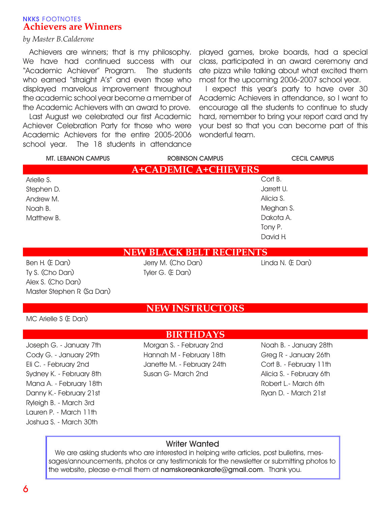## **NKKS** FOOTNOTES **Achievers are Winners**

## *by Master B.Calderone*

Achievers are winners; that is my philosophy. We have had continued success with our "Academic Achiever" Program. The students who earned "straight A's" and even those who displayed marvelous improvement throughout the academic school year become a member of the Academic Achievers with an award to prove.

Last August we celebrated our first Academic Achiever Celebration Party for those who were Academic Achievers for the entire 2005-2006 school year. The 18 students in attendance

played games, broke boards, had a special class, participated in an award ceremony and ate pizza while talking about what excited them most for the upcoming 2006-2007 school year.

I expect this year's party to have over 30 Academic Achievers in attendance, so I want to encourage all the students to continue to study hard, remember to bring your report card and try your best so that you can become part of this wonderful team.

| <b>MT. LEBANON CAMPUS</b>   | <b>ROBINSON CAMPUS</b> | <b>CECIL CAMPUS</b> |  |  |
|-----------------------------|------------------------|---------------------|--|--|
| <b>A+CADEMIC A+CHIEVERS</b> |                        |                     |  |  |
| Arielle S.                  |                        | Cort B.             |  |  |
| Stephen D.                  |                        | Jarrett U.          |  |  |
| Andrew M.                   |                        | Alicia S.           |  |  |
| Noah B.                     |                        | Meghan S.           |  |  |
| Matthew B.                  |                        | Dakota A.           |  |  |
|                             |                        | Tony P.             |  |  |
|                             |                        | David H.            |  |  |

**NEW BLACK BELT RECIPENTS**

Ben H. (E Dan) Ty S. (Cho Dan) Alex S. (Cho Dan) Master Stephen R. (Sa Dan) Jerry M. (Cho Dan) Linda N. (E Dan) Tyler G. (E Dan)

## **NEW INSTRUCTORS**

MC Arielle S (E Dan)

## **BIRTHDAYS**

Joseph G. - January 7th Cody G. - January 29th Eli C. - February 2nd Sydney K. - February 8th Mana A. - February 18th Danny K.- February 21st Ryleigh B. - March 3rd Lauren P. - March 11th Joshua S. - March 30th

Morgan S. - February 2nd Hannah M - February 18th Janette M. - February 24th Susan G- March 2nd

Noah B. - January 28th Greg R. - January 26th Cort B. - February 11th Alicia S. - February 6th Robert L.- March 6th Ryan D. - March 21st

## **Writer Wanted**

We are asking students who are interested in helping write articles, post bulletins, messages/announcements, photos or any testimonials for the newsletter or submitting photos to the website, please e-mail them at **namskoreankarate@gmail.com**. Thank you.